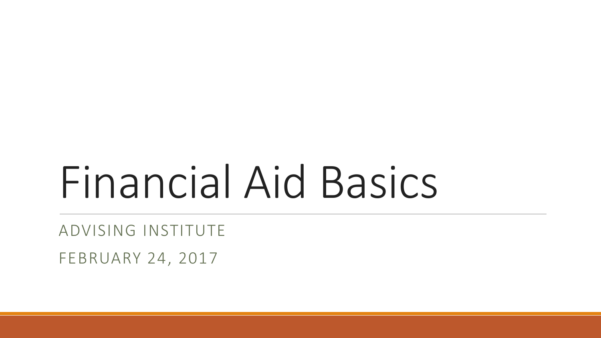# Financial Aid Basics

ADVISING INSTITUTE FEBRUARY 24, 2017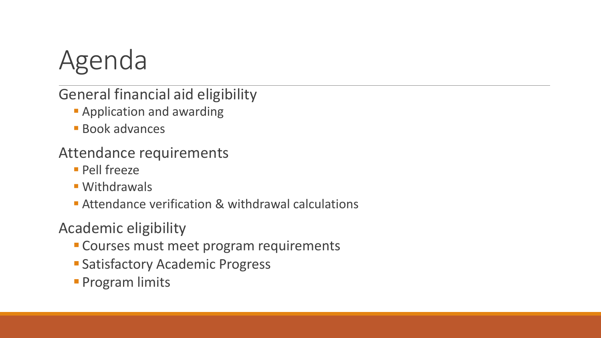

#### General financial aid eligibility

- **Application and awarding**
- **Book advances**

Attendance requirements

- **Pell freeze**
- **Withdrawals**
- Attendance verification & withdrawal calculations

Academic eligibility

- **Courses must meet program requirements**
- **Satisfactory Academic Progress**
- **Program limits**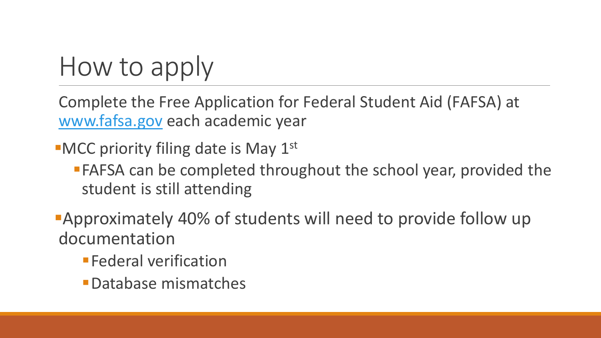## How to apply

Complete the Free Application for Federal Student Aid (FAFSA) at [www.fafsa.gov](http://www.fafsa.gov/) each academic year

 $\blacksquare$ MCC priority filing date is May 1st

**FAFSA can be completed throughout the school year, provided the** student is still attending

Approximately 40% of students will need to provide follow up documentation

- **Federal verification**
- Database mismatches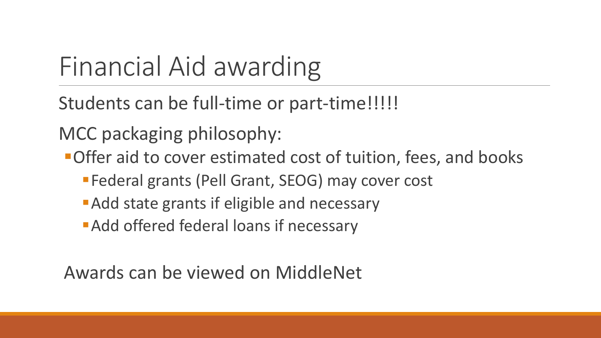# Financial Aid awarding

Students can be full-time or part-time!!!!!

MCC packaging philosophy:

**-Offer aid to cover estimated cost of tuition, fees, and books** 

- Federal grants (Pell Grant, SEOG) may cover cost
- **Add state grants if eligible and necessary**
- Add offered federal loans if necessary

Awards can be viewed on MiddleNet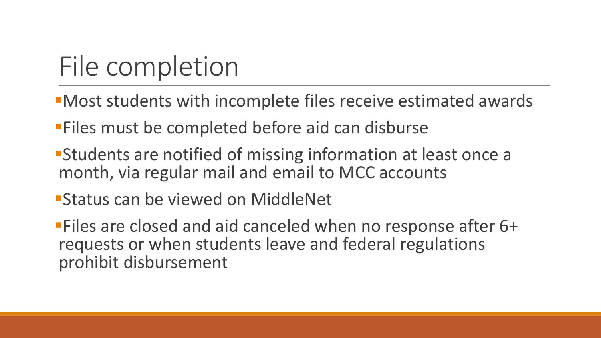# File completion

- Most students with incomplete files receive estimated awards
- **Files must be completed before aid can disburse**
- Students are notified of missing information at least once a month, via regular mail and email to MCC accounts
- Status can be viewed on MiddleNet
- Files are closed and aid canceled when no response after 6+ requests or when students leave and federal regulations prohibit disbursement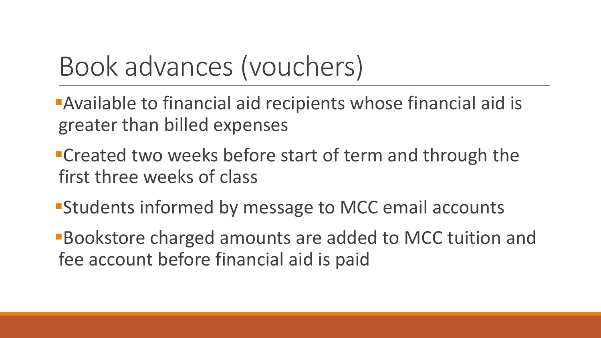### Book advances (vouchers)

Available to financial aid recipients whose financial aid is greater than billed expenses

- **Created two weeks before start of term and through the** first three weeks of class
- **Students informed by message to MCC email accounts**
- Bookstore charged amounts are added to MCC tuition and fee account before financial aid is paid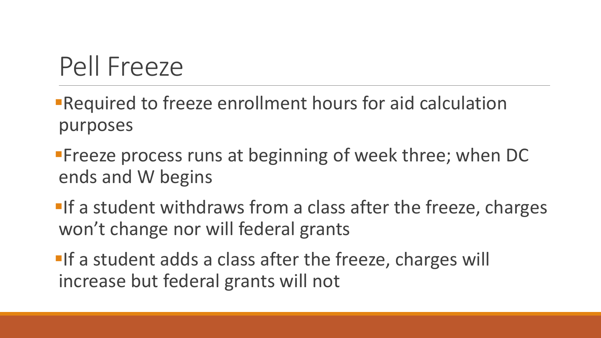### Pell Freeze

Required to freeze enrollment hours for aid calculation purposes

**Freeze process runs at beginning of week three; when DC** ends and W begins

**If a student withdraws from a class after the freeze, charges** won't change nor will federal grants

**If a student adds a class after the freeze, charges will** increase but federal grants will not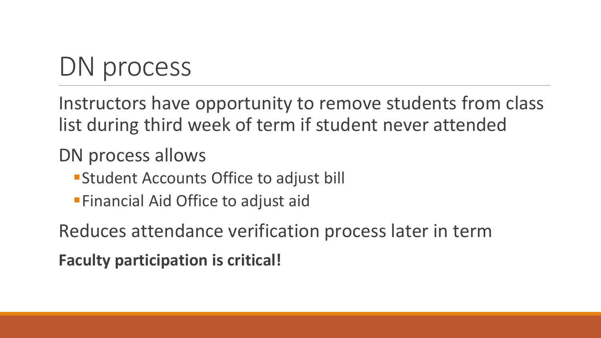### DN process

Instructors have opportunity to remove students from class list during third week of term if student never attended

#### DN process allows

- **Student Accounts Office to adjust bill**
- **Financial Aid Office to adjust aid**

Reduces attendance verification process later in term **Faculty participation is critical!**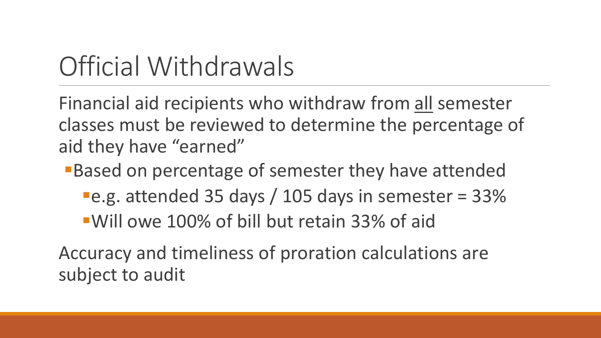### Official Withdrawals

Financial aid recipients who withdraw from all semester classes must be reviewed to determine the percentage of aid they have "earned"

Based on percentage of semester they have attended

e.g. attended 35 days / 105 days in semester = 33%

Will owe 100% of bill but retain 33% of aid

Accuracy and timeliness of proration calculations are subject to audit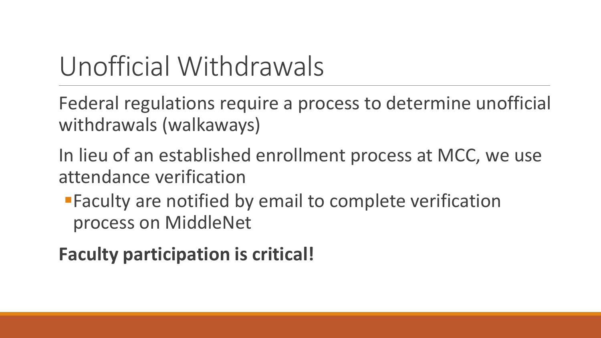### Unofficial Withdrawals

Federal regulations require a process to determine unofficial withdrawals (walkaways)

- In lieu of an established enrollment process at MCC, we use attendance verification
	- Faculty are notified by email to complete verification process on MiddleNet

### **Faculty participation is critical!**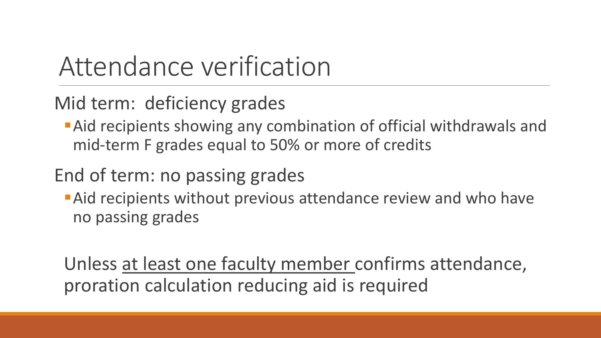### Attendance verification

Mid term: deficiency grades

Aid recipients showing any combination of official withdrawals and mid-term F grades equal to 50% or more of credits

#### End of term: no passing grades

**Aid recipients without previous attendance review and who have** no passing grades

Unless at least one faculty member confirms attendance, proration calculation reducing aid is required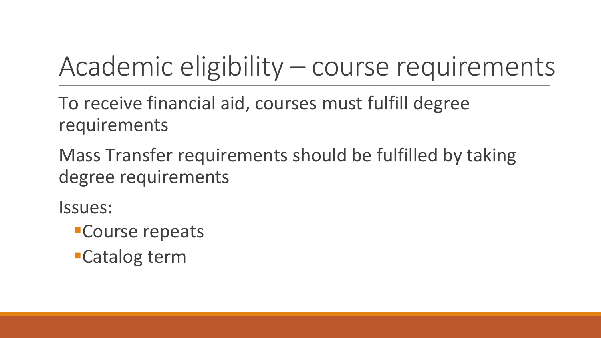## Academic eligibility – course requirements

To receive financial aid, courses must fulfill degree requirements

Mass Transfer requirements should be fulfilled by taking degree requirements

Issues:

- Course repeats
- Catalog term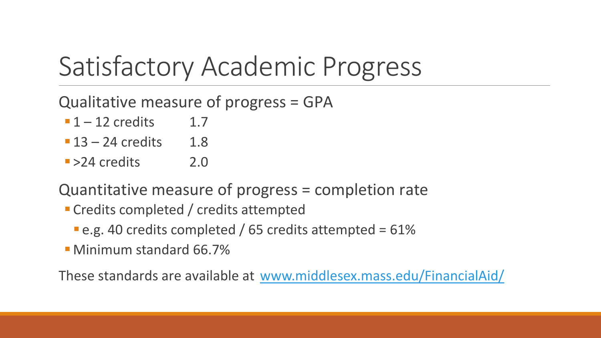### Satisfactory Academic Progress

Qualitative measure of progress = GPA

- $-1 12$  credits 1.7
- $-13 24$  credits 1.8
- $\blacktriangleright$  2.4 credits 2.0

Quantitative measure of progress = completion rate

- Credits completed / credits attempted
	- **e.g. 40 credits completed / 65 credits attempted = 61%**
- Minimum standard 66.7%

These standards are available at [www.middlesex.mass.edu/FinancialAid/](http://www.middlesex.mass.edu/FinancialAid/)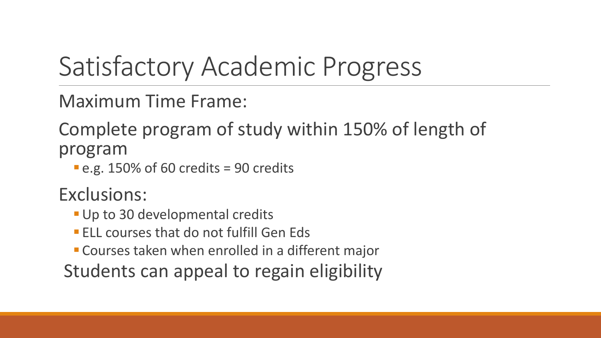### Satisfactory Academic Progress

Maximum Time Frame:

Complete program of study within 150% of length of program

 $-e.g. 150\%$  of 60 credits = 90 credits

Exclusions:

- **Up to 30 developmental credits**
- **ELL courses that do not fulfill Gen Eds**
- Courses taken when enrolled in a different major

Students can appeal to regain eligibility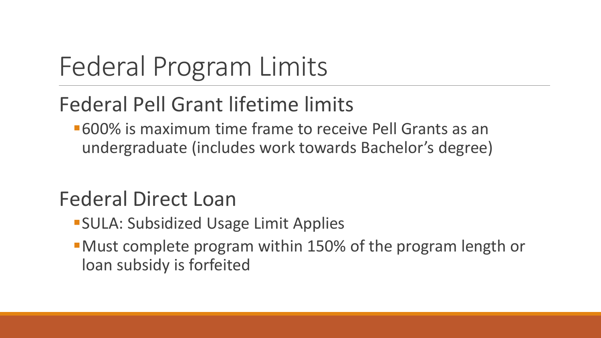# Federal Program Limits

### Federal Pell Grant lifetime limits

600% is maximum time frame to receive Pell Grants as an undergraduate (includes work towards Bachelor's degree)

### Federal Direct Loan

- **SULA: Subsidized Usage Limit Applies**
- Must complete program within 150% of the program length or loan subsidy is forfeited